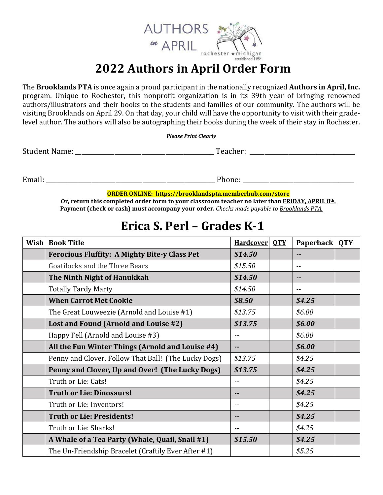

#### **2022 Authors in April Order Form**

The **Brooklands PTA** is once again a proud participant in the nationally recognized **Authors in April, Inc.**  program. Unique to Rochester, this nonprofit organization is in its 39th year of bringing renowned authors/illustrators and their books to the students and families of our community. The authors will be visiting Brooklands on April 29. On that day, your child will have the opportunity to visit with their gradelevel author. The authors will also be autographing their books during the week of their stay in Rochester.

*Please Print Clearly*

Student Name: \_\_\_\_\_\_\_\_\_\_\_\_\_\_\_\_\_\_\_\_\_\_\_\_\_\_\_\_\_\_\_\_\_\_\_\_\_\_\_\_\_\_\_\_\_\_ Teacher: \_\_\_\_\_\_\_\_\_\_\_\_\_\_\_\_\_\_\_\_\_\_\_\_\_\_\_\_\_\_\_\_\_\_\_

Email: \_\_\_\_\_\_\_\_\_\_\_\_\_\_\_\_\_\_\_\_\_\_\_\_\_\_\_\_\_\_\_\_\_\_\_\_\_\_\_\_\_\_\_\_\_\_\_\_\_\_\_\_\_\_\_\_ Phone: \_\_\_\_\_\_\_\_\_\_\_\_\_\_\_\_\_\_\_\_\_\_\_\_\_\_\_\_\_\_\_\_\_\_\_\_\_

**ORDER ONLINE: https://brooklandspta.memberhub.com/store**

**Or, return this completed order form to your classroom teacher no later than FRIDAY, APRIL 8th. Payment (check or cash) must accompany your order.** *Checks made payable to Brooklands PTA.*

#### **Erica S. Perl – Grades K-1**

| <b>Wish</b> | <b>Book Title</b>                                    | <b>Hardcover</b> | <b>OTY</b> | <b>Paperback</b> | <b>OTY</b> |
|-------------|------------------------------------------------------|------------------|------------|------------------|------------|
|             | <b>Ferocious Fluffity: A Mighty Bite-y Class Pet</b> | \$14.50          |            |                  |            |
|             | Goatilocks and the Three Bears                       | \$15.50          |            | $-$              |            |
|             | The Ninth Night of Hanukkah                          | \$14.50          |            | $\sim$ $-$       |            |
|             | <b>Totally Tardy Marty</b>                           | \$14.50          |            | $-$              |            |
|             | <b>When Carrot Met Cookie</b>                        | \$8.50           |            | \$4.25           |            |
|             | The Great Louweezie (Arnold and Louise #1)           | \$13.75          |            | \$6.00           |            |
|             | Lost and Found (Arnold and Louise #2)                | \$13.75          |            | \$6.00           |            |
|             | Happy Fell (Arnold and Louise #3)                    | --               |            | \$6.00           |            |
|             | All the Fun Winter Things (Arnold and Louise #4)     |                  |            | \$6.00           |            |
|             | Penny and Clover, Follow That Ball! (The Lucky Dogs) | \$13.75          |            | \$4.25           |            |
|             | Penny and Clover, Up and Over! (The Lucky Dogs)      | \$13.75          |            | \$4.25           |            |
|             | Truth or Lie: Cats!                                  | --               |            | \$4.25           |            |
|             | <b>Truth or Lie: Dinosaurs!</b>                      | --               |            | \$4.25           |            |
|             | Truth or Lie: Inventors!                             | --               |            | \$4.25           |            |
|             | <b>Truth or Lie: Presidents!</b>                     | --               |            | \$4.25           |            |
|             | Truth or Lie: Sharks!                                | --               |            | \$4.25           |            |
|             | A Whale of a Tea Party (Whale, Quail, Snail #1)      | \$15.50          |            | \$4.25           |            |
|             | The Un-Friendship Bracelet (Craftily Ever After #1)  |                  |            | \$5.25           |            |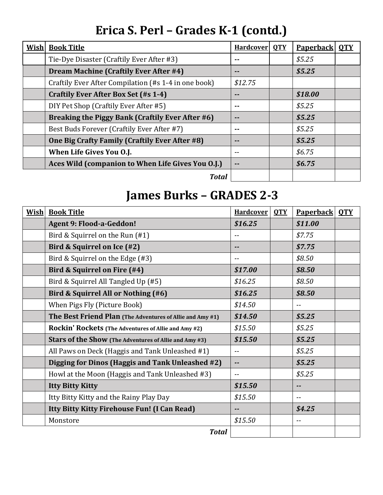# **Erica S. Perl – Grades K-1 (contd.)**

| <b>Wish</b> | <b>Book Title</b>                                    | <b>Hardcover</b> | <b>OTY</b> | <b>Paperback</b> | <b>OTY</b> |
|-------------|------------------------------------------------------|------------------|------------|------------------|------------|
|             | Tie-Dye Disaster (Craftily Ever After #3)            | --               |            | \$5.25           |            |
|             | <b>Dream Machine (Craftily Ever After #4)</b>        |                  |            | \$5.25           |            |
|             | Craftily Ever After Compilation (#s 1-4 in one book) | \$12.75          |            |                  |            |
|             | Craftily Ever After Box Set (#s 1-4)                 |                  |            | \$18.00          |            |
|             | DIY Pet Shop (Craftily Ever After #5)                |                  |            | \$5.25           |            |
|             | Breaking the Piggy Bank (Craftily Ever After #6)     |                  |            | \$5.25           |            |
|             | Best Buds Forever (Craftily Ever After #7)           | --               |            | \$5.25           |            |
|             | One Big Crafty Family (Craftily Ever After #8)       | $- -$            |            | \$5.25           |            |
|             | When Life Gives You O.J.                             | $- -$            |            | \$6.75           |            |
|             | Aces Wild (companion to When Life Gives You O.J.)    | $\sim$ $-$       |            | \$6.75           |            |
|             | <b>Total</b>                                         |                  |            |                  |            |

## **James Burks – GRADES 2-3**

| <b>Wish</b> | <b>Book Title</b>                                         | <b>Hardcover</b> | <b>OTY</b> | <b>Paperback</b> | <b>OTY</b> |
|-------------|-----------------------------------------------------------|------------------|------------|------------------|------------|
|             | <b>Agent 9: Flood-a-Geddon!</b>                           | \$16.25          |            | \$11.00          |            |
|             | Bird & Squirrel on the Run (#1)                           | --               |            | \$7.75           |            |
|             | Bird & Squirrel on Ice (#2)                               |                  |            | \$7.75           |            |
|             | Bird & Squirrel on the Edge (#3)                          | --               |            | \$8.50           |            |
|             | Bird & Squirrel on Fire (#4)                              | \$17.00          |            | \$8.50           |            |
|             | Bird & Squirrel All Tangled Up (#5)                       | \$16.25          |            | \$8.50           |            |
|             | Bird & Squirrel All or Nothing (#6)                       | \$16.25          |            | \$8.50           |            |
|             | When Pigs Fly (Picture Book)                              | \$14.50          |            | $- -$            |            |
|             | The Best Friend Plan (The Adventures of Allie and Amy #1) | \$14.50          |            | \$5.25           |            |
|             | Rockin' Rockets (The Adventures of Allie and Amy #2)      | \$15.50          |            | \$5.25           |            |
|             | Stars of the Show (The Adventures of Allie and Amy #3)    | \$15.50          |            | \$5.25           |            |
|             | All Paws on Deck (Haggis and Tank Unleashed #1)           | --               |            | \$5.25           |            |
|             | Digging for Dinos (Haggis and Tank Unleashed #2)          |                  |            | \$5.25           |            |
|             | Howl at the Moon (Haggis and Tank Unleashed #3)           | $-$              |            | \$5.25           |            |
|             | <b>Itty Bitty Kitty</b>                                   | \$15.50          |            | --               |            |
|             | Itty Bitty Kitty and the Rainy Play Day                   | \$15.50          |            | --               |            |
|             | Itty Bitty Kitty Firehouse Fun! (I Can Read)              |                  |            | \$4.25           |            |
|             | Monstore                                                  | \$15.50          |            | $-$              |            |
|             | <b>Total</b>                                              |                  |            |                  |            |